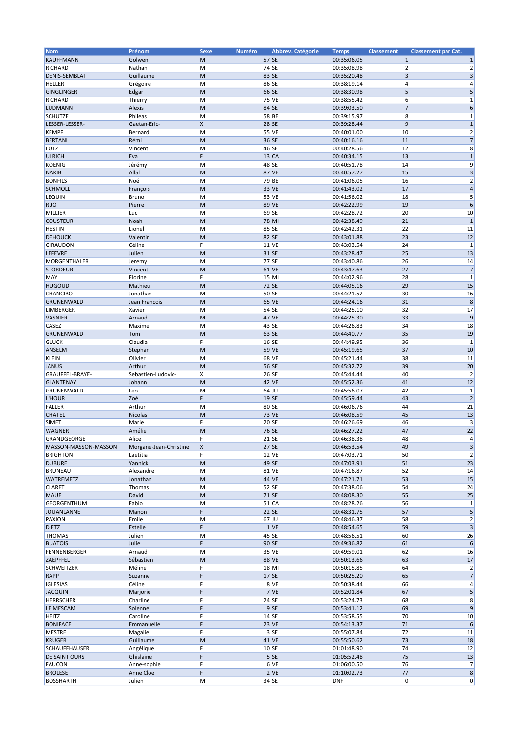| <b>Nom</b>           | Prénom                 | <b>Sexe</b>  | <b>Numéro</b> | Abbrev. Catégorie | <b>Temps</b> | <b>Classement</b> | <b>Classement par Cat.</b> |                         |
|----------------------|------------------------|--------------|---------------|-------------------|--------------|-------------------|----------------------------|-------------------------|
| <b>KAUFFMANN</b>     | Golwen                 | M            |               | 57 SE             | 00:35:06.05  |                   | $\mathbf{1}$               | 1                       |
|                      |                        |              |               |                   |              |                   |                            |                         |
| <b>RICHARD</b>       | Nathan                 | M            |               | 74 SE             | 00:35:08.98  |                   | $\overline{\mathbf{c}}$    | $\overline{2}$          |
| <b>DENIS-SEMBLAT</b> | Guillaume              | M            |               | 83 SE             | 00:35:20.48  |                   | 3                          | 3                       |
| <b>HELLER</b>        | Grégoire               | M            |               | 86 SE             | 00:38:19.14  |                   | 4                          | 4                       |
| <b>GINGLINGER</b>    | Edgar                  | M            |               | 66 SE             | 00:38:30.98  |                   | 5                          | 5                       |
| <b>RICHARD</b>       | Thierry                | M            |               | 75 VE             | 00:38:55.42  |                   | 6                          | 1                       |
| <b>LUDMANN</b>       | Alexis                 | M            |               | 84 SE             | 00:39:03.50  |                   | $\overline{7}$             | 6                       |
| <b>SCHUTZE</b>       | Phileas                | M            |               | 58 BE             | 00:39:15.97  |                   | 8                          | 1                       |
|                      |                        |              |               |                   |              |                   |                            |                         |
| LESSER-LESSER-       | Gaetan-Eric-           | X            |               | 28 SE             | 00:39:28.44  |                   | 9                          | $\mathbf 1$             |
| <b>KEMPF</b>         | Bernard                | M            |               | 55 VE             | 00:40:01.00  | 10                |                            | 2                       |
| <b>BERTANI</b>       | Rémi                   | M            |               | 36 SE             | 00:40:16.16  | 11                |                            | $\overline{7}$          |
| LOTZ                 | Vincent                | M            |               | 46 SE             | 00:40:28.56  | 12                |                            | 8                       |
| <b>ULRICH</b>        | Eva                    | F.           |               | 13 CA             | 00:40:34.15  | 13                |                            | $\mathbf{1}$            |
| <b>KOENIG</b>        |                        | M            |               | 48 SE             | 00:40:51.78  | 14                |                            | 9                       |
|                      | Jérémy                 |              |               |                   |              |                   |                            |                         |
| <b>NAKIB</b>         | Allal                  | M            |               | 87 VE             | 00:40:57.27  | 15                |                            | 3                       |
| <b>BONFILS</b>       | Noé                    | M            |               | 79 BE             | 00:41:06.05  | 16                |                            | $\overline{2}$          |
| <b>SCHMOLL</b>       | François               | M            |               | 33 VE             | 00:41:43.02  | 17                |                            | $\overline{a}$          |
| <b>LEQUIN</b>        | Bruno                  | M            |               | 53 VE             | 00:41:56.02  | 18                |                            | 5                       |
| <b>RIJO</b>          | Pierre                 | M            |               | 89 VE             | 00:42:22.99  | 19                |                            | 6                       |
| <b>MILLIER</b>       |                        | M            |               |                   |              | 20                |                            | 10                      |
|                      | Luc                    |              |               | 69 SE             | 00:42:28.72  |                   |                            |                         |
| <b>COUSTEUR</b>      | Noah                   | M            |               | 78 MI             | 00:42:38.49  | 21                |                            | $\mathbf{1}$            |
| <b>HESTIN</b>        | Lionel                 | M            |               | 85 SE             | 00:42:42.31  | 22                |                            | 11                      |
| <b>DEHOUCK</b>       | Valentin               | M            |               | 82 SE             | 00:43:01.88  | 23                |                            | 12                      |
| <b>GIRAUDON</b>      | Céline                 | F            |               | 11 VE             | 00:43:03.54  | 24                |                            | $\mathbf 1$             |
| <b>LEFEVRE</b>       | Julien                 | M            |               | 31 SE             | 00:43:28.47  | 25                |                            | 13                      |
|                      |                        |              |               |                   |              |                   |                            |                         |
| MORGENTHALER         | Jeremy                 | M            |               | 77 SE             | 00:43:40.86  | 26                |                            | 14                      |
| <b>STORDEUR</b>      | Vincent                | M            |               | 61 VE             | 00:43:47.63  | 27                |                            | $\overline{7}$          |
| <b>MAY</b>           | Florine                | F.           |               | 15 MI             | 00:44:02.96  | 28                |                            | $\mathbf{1}$            |
| <b>HUGOUD</b>        | Mathieu                | M            |               | 72 SE             | 00:44:05.16  | 29                |                            | 15                      |
| <b>CHANCIBOT</b>     | Jonathan               | M            |               | 50 SE             | 00:44:21.52  | 30                |                            | 16                      |
| <b>GRUNENWALD</b>    | Jean Francois          | M            |               | 65 VE             | 00:44:24.16  | 31                |                            | 8                       |
|                      |                        |              |               |                   |              |                   |                            |                         |
| <b>LIMBERGER</b>     | Xavier                 | M            |               | 54 SE             | 00:44:25.10  | 32                |                            | 17                      |
| <b>VASNIER</b>       | Arnaud                 | M            |               | 47 VE             | 00:44:25.30  | 33                |                            | 9                       |
| <b>CASEZ</b>         | Maxime                 | M            |               | 43 SE             | 00:44:26.83  | 34                |                            | 18                      |
| <b>GRUNENWALD</b>    | Tom                    | M            |               | 63 SE             | 00:44:40.77  | 35                |                            | 19                      |
| <b>GLUCK</b>         | Claudia                | F            |               | 16 SE             | 00:44:49.95  | 36                |                            | $\mathbf 1$             |
| <b>ANSELM</b>        | Stephan                | M            |               | 59 VE             | 00:45:19.65  | 37                |                            | 10                      |
|                      |                        |              |               |                   |              |                   |                            |                         |
| <b>KLEIN</b>         | Olivier                | M            |               | 68 VE             | 00:45:21.44  | 38                |                            | 11                      |
| <b>JANUS</b>         | Arthur                 | M            |               | 56 SE             | 00:45:32.72  | 39                |                            | 20                      |
| GRAUFFEL-BRAYE-      | Sebastien-Ludovic-     | Χ            |               | 26 SE             | 00:45:44.44  | 40                |                            | $\overline{2}$          |
| <b>GLANTENAY</b>     | Johann                 | M            |               | 42 VE             | 00:45:52.36  | 41                |                            | 12                      |
| GRUNENWALD           | Leo                    | M            |               | 64 JU             | 00:45:56.07  | 42                |                            | $\mathbf 1$             |
| L'HOUR               | Zoé                    | F            |               | 19 SE             | 00:45:59.44  | 43                |                            | $\overline{2}$          |
|                      |                        |              |               |                   |              |                   |                            |                         |
| <b>FALLER</b>        | Arthur                 | M            |               | 80 SE             | 00:46:06.76  | 44                |                            | 21                      |
| <b>CHATEL</b>        | Nicolas                | M            |               | 73 VE             | 00:46:08.59  | 45                |                            | 13                      |
| <b>SIMET</b>         | Marie                  | F            |               | 20 SE             | 00:46:26.69  | 46                |                            | 3                       |
| <b>WAGNER</b>        | Amélie                 | M            |               | 76 SE             | 00:46:27.22  | 47                |                            | 22                      |
| GRANDGEORGE          | Alice                  | ь.           |               | 21 SE             | 00:46:38.38  | 48                |                            | 4                       |
| MASSON-MASSON-MASSON | Morgane-Jean-Christine | $\mathsf{X}$ |               | 27 SE             | 00:46:53.54  | 49                |                            | 3                       |
|                      |                        |              |               |                   |              |                   |                            |                         |
| <b>BRIGHTON</b>      | Laetitia               | F.           |               | 12 VE             | 00:47:03.71  | 50                |                            | $\overline{2}$          |
| <b>DUBURE</b>        | Yannick                | M            |               | 49 SE             | 00:47:03.91  | 51                |                            | 23                      |
| <b>BRUNEAU</b>       | Alexandre              | M            |               | 81 VE             | 00:47:16.87  | 52                |                            | 14                      |
| <b>WATREMETZ</b>     | Jonathan               | M            |               | 44 VE             | 00:47:21.71  | 53                |                            | 15                      |
| <b>CLARET</b>        | Thomas                 | M            |               | 52 SE             | 00:47:38.06  | 54                |                            | 24                      |
| <b>MAUE</b>          | David                  | M            |               | 71 SE             | 00:48:08.30  | 55                |                            | 25                      |
|                      |                        |              |               |                   |              |                   |                            |                         |
| <b>GEORGENTHUM</b>   | Fabio                  | M            |               | 51 CA             | 00:48:28.26  | 56                |                            | 1                       |
| <b>JOUANLANNE</b>    | Manon                  | F            |               | 22 SE             | 00:48:31.75  | 57                |                            | 5                       |
| <b>PAXION</b>        | Emile                  | М            |               | 67 JU             | 00:48:46.37  | 58                |                            | $\overline{2}$          |
| <b>DIETZ</b>         | Estelle                | F            |               | 1 VE              | 00:48:54.65  | 59                |                            | $\overline{\mathbf{3}}$ |
| <b>THOMAS</b>        | Julien                 | M            |               | 45 SE             | 00:48:56.51  | 60                |                            | 26                      |
| <b>BUATOIS</b>       | Julie                  | F            |               | 90 SE             | 00:49:36.82  | 61                |                            | $6\phantom{1}6$         |
|                      |                        |              |               |                   |              |                   |                            |                         |
| <b>FENNENBERGER</b>  | Arnaud                 | M            |               | 35 VE             | 00:49:59.01  | 62                |                            | 16                      |
| ZAEPFFEL             | Sébastien              | M            |               | 88 VE             | 00:50:13.66  | 63                |                            | 17                      |
| <b>SCHWEITZER</b>    | Méline                 | F            |               | 18 MI             | 00:50:15.85  | 64                |                            | $\overline{2}$          |
| RAPP                 | Suzanne                | F            |               | 17 SE             | 00:50:25.20  | 65                |                            | $\overline{7}$          |
| <b>IGLESIAS</b>      | Céline                 | F            |               | 8 VE              | 00:50:38.44  | 66                |                            | 4                       |
| <b>JACQUIN</b>       | Marjorie               | F            |               | 7 VE              | 00:52:01.84  | 67                |                            | 5                       |
| HERRSCHER            | Charline               | F            |               | 24 SE             | 00:53:24.73  | 68                |                            | 8                       |
|                      |                        |              |               |                   |              |                   |                            |                         |
| LE MESCAM            | Solenne                | F            |               | 9 SE              | 00:53:41.12  | 69                |                            | 9                       |
| HEITZ                | Caroline               | F            |               | 14 SE             | 00:53:58.55  | 70                |                            | 10                      |
| <b>BONIFACE</b>      | Emmanuelle             | F            |               | 23 VE             | 00:54:13.37  | 71                |                            | $\boldsymbol{6}$        |
| <b>MESTRE</b>        | Magalie                | F            |               | 3 SE              | 00:55:07.84  | 72                |                            | 11                      |
| <b>KRUGER</b>        | Guillaume              | M            |               | 41 VE             | 00:55:50.62  | 73                |                            | 18                      |
| <b>SCHAUFFHAUSER</b> |                        | F            |               | 10 SE             |              | 74                |                            |                         |
|                      | Angélique              |              |               |                   | 01:01:48.90  |                   |                            | 12                      |
| <b>DE SAINT OURS</b> | Ghislaine              | F.           |               | 5 SE              | 01:05:52.48  | 75                |                            | 13                      |
| <b>FAUCON</b>        | Anne-sophie            | F            |               | 6 VE              | 01:06:00.50  | 76                |                            | 7                       |
| <b>BROLESE</b>       | Anne Cloe              | F            |               | 2 VE              | 01:10:02.73  |                   | 77                         | 8                       |
| <b>BOSSHARTH</b>     | Julien                 | M            |               | 34 SE             | <b>DNF</b>   |                   | $\mathbf 0$                | 0                       |